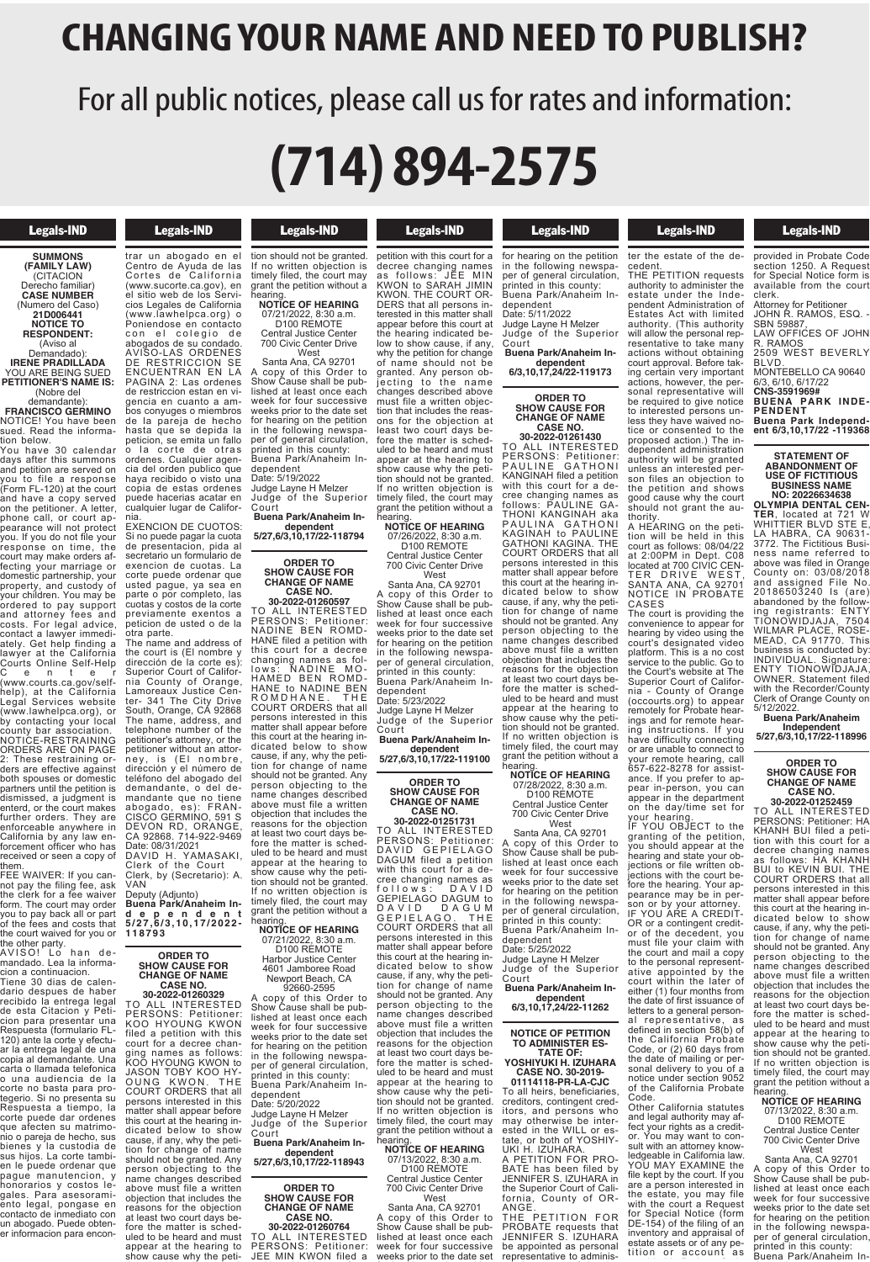#### **CHANGING YOUR NAME AND NEED TO PUBLISH?** the California Probate Code, or (2) 60 days from  $\overline{\phantom{a}}$ **NOTICE OF PETITION TO ADMINISTER ES-TATE OF: YOSHIYUKI H. IZUHARA** objection that includes the reasons for the objection an least two co  $f \cdot f = -f$ faile all zahid ni igun na  $\sim$   $\sim$   $\sim$   $\sim$   $\sim$   $\sim$ de esta Citacion y Petinic. Inic. Respuesta (formulario FL- $120$

For all public notices, please call us for rates and information: Other California statutes  $\bullet$  . The legal authority may a  $\bullet$ To all heirs, beneficiaries,  $\frac{1}{2}$ informat itors, and persons who a muvimas ar ratac an or raies an timely filed, the court may COURT ORDERS that all persons in the set of the interest of the term in the set of the set of the term in the set of the set of the matter she ours, pic carta o llamada telefonica all public r

#### **(714) 894-2575** 07/13/2022, 8:30 a.m. D100 REMOTE Central Justice Center 70 Civic Center Drive West **ORDER TO SHOW CAUSE FOR** tion for change of name should not be granted. Any person objecting to the name changes described above must file a written  $\mathbf{v}$  includes the includes that is the included that is the included top  $\mathbf{v}$

### Legals-IND

**SUMMONS (FAMILY LAW)** (CITACION Derecho familiar) **CASE NUMBER** (Numero del Caso) **21D006441 NOTICE TO RESPONDENT:** (Aviso al Demandado): **IRENE PRADILLADA** YOU ARE BEING SUED **PETITIONER'S NAME IS:** (Nobre del

demandante): **FRANCISCO GERMINO** NOTICE! You have been sued. Read the informa-

tion below. You have 30 calendar days after this summons and petition are served on you to file a response (Form FL-120) at the court and have a copy served on the petitioner. A letter, phone call, or court appearance will not protect you. If you do not file your response on time, the court may make orders affecting your marriage or domestic partnership, your property, and custody of your children. You may be ordered to pay support and attorney fees and costs. For legal advice, contact a lawyer immediately. Get help finding a lawyer at the California Courts Online Self-Help C e n t e r (www.courts.ca.gov/self-

nia.

otra parte.

help), at the California Legal Services website (www.lawhelpca.org), or by contacting your local county bar association. NOTICE-RESTRAINING ORDERS ARE ON PAGE 2: These restraining orders are effective against both spouses or domestic partners until the petition is dismissed, a judgment is enterd, or the court makes further orders. They are enforceable anywhere in California by any law enforcement officer who has received or seen a copy of

them. FEE WAIVER: If you cannot pay the filing fee, ask the clerk for a fee waiver form. The court may order you to pay back all or part of the fees and costs that the court waived for you or the other party.

AVISO! Lo han demandado. Lea la informacion a continuacion.

Tiene 30 dias de calendario despues de haber recibido la entrega legal de esta Citacion y Peticion para presentar una Respuesta (formulario FL-120) ante la corte y efectuar la entrega legal de una copia al demandante. Una carta o llamada telefonica o una audiencia de la corte no basta para protegerio. Si no presenta su Respuesta a tiempo, la corte puede dar ordenes que afecten su matrimonio o pareja de hecho, sus bienes y la custodia de sus hijos. La corte tambien le puede ordenar que pague manutencion, y honorarios y costos legales. Para asesoramiento legal, pongase en contacto de inmediato con un abogado. Puede obtener informacion para encon-

### **Example 18** ento legal, pongase en un abogado musical

(www.lawhelpca.org) o Poniendose en contacto con el colegio de abogados de su condado. AVISO-LAS ORDENES DE RESTRICCION SE ENCUENTRAN EN LA PAGINA 2: Las ordenes de restriccion estan en vigencia en cuanto a ambos conyuges o miembros de la pareja de hecho hasta que se depida la peticion, se emita un fallo o la corte de otras ordenes. Cualquier agencia del orden publico que haya recibido o visto una copia de estas ordenes puede hacerias acatar en cualquier lugar de Califor-

EXENCION DE CUOTOS: Si no puede pagar la cuota de presentacion, pida al secretario un formulario de exencion de cuotas. La corte puede ordenar que usted pague, ya sea en parte o por completo, las cuotas y costos de la corte previamente exentos a peticion de usted o de la

The name and address of the court is (El nombre y dirección de la corte es): Superior Court of California County of Orange, Lamoreaux Justice Center- 341 The City Drive South, Orange, CA 92868 The name, address, and telephone number of the petitioner's attorney, or the petitioner without an attorney, is (El nombre, dirección y el número de teléfono del abogado del demandante, o del demandante que no tiene abogado, es): FRAN-CISCO GERMINO, 591 S DEVON RD, ORANGE, CA 92868. 714-922-9469 Date: 08/31/2021

Clerk of the Court

**ORDER TO SHOW CAUSE FOR CHANGE OF NAME CASE NO. 30-2022-01260329** TO ALL INTERESTED PERSONS: Petitioner: KOO HYOUNG KWON filed a petition with this court for a decree changing names as follows: KOO HYOUNG KWON to JASON TOBY KOO HY-OUNG KWON. THE COURT ORDERS that all persons interested in this matter shall appear before this court at the hearing indicated below to show cause, if any, why the petition for change of name should not be granted. Any person objecting to the name changes described above must file a written objection that includes the reasons for the objection at least two court days before the matter is scheduled to be heard and must appear at the hearing to show cause why the peti-

VAN

**1 1 8 7 9 3**

Respuesta a tiempo, la

 $\overline{\phantom{a}}$  at the  $\overline{\phantom{a}}$ show cause why the petition should not be granted. If no written objection is timely filed, the court may grant the petition without a hearing. **NOTICE OF HEARING** er informacion para encontrar un abogado en el Centro de Ayuda de las Cortes de Cal ifornia (www.sucorte.ca.gov), en el sitio web de los Servicios Legales de California

**Example 18 Legals-IND** 

fore the matter is sched-

dicated below to show

07/21/2022, 8:30 a.m. D100 REMOTE Central Justice Center 700 Civic Center Drive

West Santa Ana, CA 92701 A copy of this Order to Show Cause shall be published at least once each week for four successive weeks prior to the date set for hearing on the petition in the following newspaper of general circulation, printed in this county: Buena Park/Anaheim Independent Date: 5/19/2022

Judge Layne H Melzer Judge of the Superior Court **Buena Park/Anaheim In-**

**dependent 5/27,6/3,10,17/22-118794**

### **ORDER TO SHOW CAUSE FOR CHANGE OF NAME CASE NO.**

**30-2022-01260597** TO ALL INTERESTED PERSONS: Petitioner: NADINE BEN ROMD-HANE filed a petition with this court for a decree changing names as follows: NADINE MO-HAMED BEN ROMD-HANE to NADINE BEN R O M D H A N E . T H E COURT ORDERS that all persons interested in this matter shall appear before this court at the hearing indicated below to show cause, if any, why the petition for change of name should not be granted. Any person objecting to the name changes described above must file a written objection that includes the reasons for the objection at least two court days before the matter is scheduled to be heard and must appear at the hearing to show cause why the peti-

tion should not be granted. If no written objection is timely filed, the court may grant the petition without a hearing. **NOTICE OF HEARING** DAVID H. YAMASAKI, Clerk, by (Secretario): A. Deputy (Adjunto) **Buena Park/Anaheim Ind e p e n d e n t 5 / 2 7 , 6 / 3 , 1 0 , 1 7 / 2 0 2 2 -**

07/21/2022, 8:30 a.m. D100 REMOTE Harbor Justice Center 4601 Jamboree Road Newport Beach, CA 92660-2595

A copy of this Order to Show Cause shall be published at least once each week for four successive weeks prior to the date set for hearing on the petition in the following newspaper of general circulation, printed in this county: Buena Park/Anaheim Independent Date: 5/20/2022

Judge Layne H Melzer Judge of the Superior Court **Buena Park/Anaheim In-**

**dependent 5/27,6/3,10,17/22-118943**

### **ORDER TO SHOW CAUSE FOR CHANGE OF NAME CASE NO.**

**30-2022-01260764** TO ALL INTERESTED PERSONS: Petitioner: JEE MIN KWON filed a

### **Legals-IND 30-2022-01260764** Persons: Petitioner: Petitioner: Petitioner: Petitioner: Petitioner: Petitioner: Petitioner: Petitioner: Petit<br>Petitioner: Petitioner: Petitioner: Petitioner: Petitioner: Petitioner: Petitioner: Petitioner: Petitioner: Pe JEE MIN KWON filed a

petition with this court for a decree changing names as follows: JEE MIN KWON to SARAH JIMIN KWON. THE COURT OR-DERS that all persons interested in this matter shall appear before this court at the hearing indicated below to show cause, if any, why the petition for change of name should not be granted. Any person objecting to the name changes described above must file a written objection that includes the reasons for the objection at least two court days before the matter is scheduled to be heard and must appear at the hearing to show cause why the petition should not be granted. If no written objection is timely filed, the court may grant the petition without a hearing.

**NOTICE OF HEARING** 07/26/2022, 8:30 a.m. D100 REMOTE

Central Justice Center 700 Civic Center Drive West Santa Ana, CA 92701

A copy of this Order to Show Cause shall be published at least once each week for four successive weeks prior to the date set for hearing on the petition in the following newspaper of general circulation, printed in this county: Buena Park/Anaheim Independent Date: 5/23/2022 Judge Layne H Melzer

Judge of the Superior Court **Buena Park/Anaheim In-**

**dependent 5/27,6/3,10,17/22-119100**

### **ORDER TO SHOW CAUSE FOR CHANGE OF NAME CASE NO. 30-2022-01251731**

TO ALL INTERESTED PERSONS: Petitioner: DAVID GEPIELAGO DAGUM filed a petition with this court for a decree changing names as f o l l o w s : D A V I D GEPIELAGO DAGUM to DA V I D D A G U M GEPIELAGO. THE COURT ORDERS that all persons interested in this matter shall appear before<br>this court at the hearing indicated below to show cause, if any, why the petition for change of name should not be granted. Any person objecting to the name changes described above must file a written objection that includes the reasons for the objection at least two court days before the matter is scheduled to be heard and must appear at the hearing to show cause why the petition should not be granted. If no written objection is timely filed, the court may grant the petition without a

hearing. **NOTICE OF HEARING** 07/13/2022, 8:30 a.m. D100 REMOTE Central Justice Center

700 Civic Center Drive West Santa Ana, CA 92701

A copy of this Order to Show Cause shall be published at least once each week for four successive weeks prior to the date set

### **Legals-IND** Show Cause shall be pub- $\frac{1}{2}$  for four successive  $\frac{1}{2}$

weeks prior to the date set for hearing on the petition in the following newspaper of general circulation, printed in this county: Buena Park/Anaheim Independent Date: 5/11/2022

Judge Layne H Melzer Judge of the Superior Court

**Buena Park/Anaheim Independent 6/3,10,17,24/22-119173**

### **ORDER TO SHOW CAUSE FOR CHANGE OF NAME CASE NO.**

**30-2022-01261430** TO ALL INTERESTED PERSONS: Petitioner: PAULINE GATHONI KANGINAH filed a petition with this court for a decree changing names as follows: PAULINE GA-THONI KANGINAH aka PAULINA GATHONI KAGINAH to PAULINE GATHONI KAGINA. THE COURT ORDERS that all persons interested in this matter shall appear before this court at the hearing indicated below to show cause, if any, why the petition for change of name should not be granted. Any person objecting to the name changes described above must file a written objection that includes the reasons for the objection at least two court days before the matter is scheduled to be heard and must appear at the hearing to show cause why the petition should not be granted. If no written objection is timely filed, the court may grant the petition without a

hearing. **NOTICE OF HEARING** 07/28/2022, 8:30 a.m. D100 REMOTE

Central Justice Center 700 Civic Center Drive West

Santa Ana, CA 92701 A copy of this Order to Show Cause shall be published at least once each week for four successive weeks prior to the date set for hearing on the petition in the following newspaper of general circulation, printed in this county: Buena Park/Anaheim Independent Date: 5/25/2022 Judge Layne H Melzer

Judge of the Superior Court **Buena Park/Anaheim Independent**

## **6/3,10,17,24/22-11262**

### **NOTICE OF PETITION TO ADMINISTER ES-TATE OF: YOSHIYUKI H. IZUHARA**

**CASE NO. 30-2019- 01114118-PR-LA-CJC**

To all heirs, beneficiaries, creditors, contingent creditors, and persons who may otherwise be interested in the WILL or estate, or both of YOSHIY-UKI H. IZUHARA.

A PETITION FOR PRO-BATE has been filed by JENNIFER S. IZUHARA in the Superior Court of California, County of OR-ANGE.

THE PETITION FOR PROBATE requests that JENNIFER S. IZUHARA be appointed as personal representative to adminis-

### **Legals-IND** PROBATE requests that  $\overline{\phantom{a}}$  and  $\overline{\phantom{a}}$  are personal  $\overline{\phantom{a}}$

representative to administer the estate of the decedent. THE PETITION requests

authority to administer the estate under the Independent Administration of Estates Act with limited authority. (This authority will allow the personal representative to take many actions without obtaining court approval. Before taking certain very important actions, however, the personal representative will be required to give notice to interested persons unless they have waived notice or consented to the proposed action.) The independent administration authority will be granted unless an interested person files an objection to the petition and shows good cause why the court

should not grant the authority. A HEARING on the petition will be held in this court as follows: 08/04/22 at 2:00PM in Dept. C08 located at 700 CIVIC CEN-TER DRIVE WEST, SANTA ANA, CA 92701 NOTICE IN PROBATE CASES

The court is providing the convenience to appear for hearing by video using the court's designated video platform. This is a no cost service to the public. Go to the Court's website at The Superior Court of California - County of Orange (occourts.org) to appear remotely for Probate hearings and for remote hearing instructions. If you have difficulty connecting or are unable to connect to your remote hearing, call 657-622-8278 for assistance. If you prefer to appear in-person, you can appear in the department on the day/time set for

your hearing. IF YOU OBJECT to the granting of the petition, you should appear at the hearing and state your objections or file written objections with the court before the hearing. Your appearance may be in person or by your attorney. IF YOU ARE A CREDIT-OR or a contingent creditor of the decedent, you must file your claim with the court and mail a copy to the personal representative appointed by the court within the later of either (1) four months from the date of first issuance of letters to a general personal representative, as

defined in section 58(b) of the California Probate Code, or (2) 60 days from the date of mailing or personal delivery to you of a notice under section 9052 of the California Probate Code.

Other California statutes and legal authority may affect your rights as a creditor. You may want to consult with an attorney knowledgeable in California law. YOU MAY EXAMINE the file kept by the court. If you are a person interested in the estate, you may file with the court a Request for Special Notice (form<br>DE-154) of the filing of an inventory and appraisal of estate assets or of any petition or ac count as

### **inventory and approximate** and approximate DE-154) of the filing of an estate assets of any personal personal personal personal personal personal personal personal personal personal personal personal personal personal personal personal personal personal personal personal personal personal per

tition or ac count as provided in Probate Code section 1250. A Request for Special Notice form is available from the court

clerk. Attorney for Petitioner JOHN R. RAMOS, ESQ. - SBN 59887, LAW OFFICES OF JOHN R. RAMOS 2509 WEST BEVERLY

BLVD. MONTEBELLO CA 90640 6/3, 6/10, 6/17/22 **CNS-3591969# BUENA PARK INDE-**

**PENDENT Buena Park Independent 6/3,10,17/22 -119368**

### **STATEMENT OF ABANDONMENT OF USE OF FICTITIOUS BUSINESS NAME NO: 20226634638**

**OLYMPIA DENTAL CEN-TER**, located at 721 W WHITTIER BLVD STE E, LA HABRA, CA 90631- 3772. The Fictitious Business name referred to above was filed in Orange County on: 03/08/2018 and assigned File No. 20186503240 Is (are) abandoned by the following registrants: ENTY TIONOWIDJAJA, 7504 WILMAR PLACE, ROSE-MEAD, CA 91770. This business is conducted by: INDIVIDUAL. Signature: ENTY TIONOWIDJAJA, OWNER. Statement filed with the Recorder/County Clerk of Orange County on

5/12/2022. **Buena Park/Anaheim Independent**

**5/27,6/3,10,17/22-118996**

### **ORDER TO SHOW CAUSE FOR CHANGE OF NAME CASE NO. 30-2022-01252459**

TO ALL INTERESTED PERSONS: Petitioner: HA KHANH BUI filed a petition with this court for a decree changing names as follows: HA KHANH BUI to KEVIN BUI. THE COURT ORDERS that all persons interested in this matter shall appear before this court at the hearing indicated below to show cause, if any, why the petition for change of name should not be granted. Any person objecting to the name changes described above must file a written objection that includes the reasons for the objection at least two court days before the matter is scheduled to be heard and must appear at the hearing to show cause why the petition should not be granted. If no written objection is timely filed, the court may grant the petition without a

### hearing. **NOTICE OF HEARING**

07/13/2022, 8:30 a.m. D100 REMOTE Central Justice Center 700 Civic Center Drive

West

Santa Ana, CA 92701 A copy of this Order to Show Cause shall be published at least once each week for four successive weeks prior to the date set for hearing on the petition in the following newspaper of general circulation, printed in this county: Buena Park/Anaheim In-